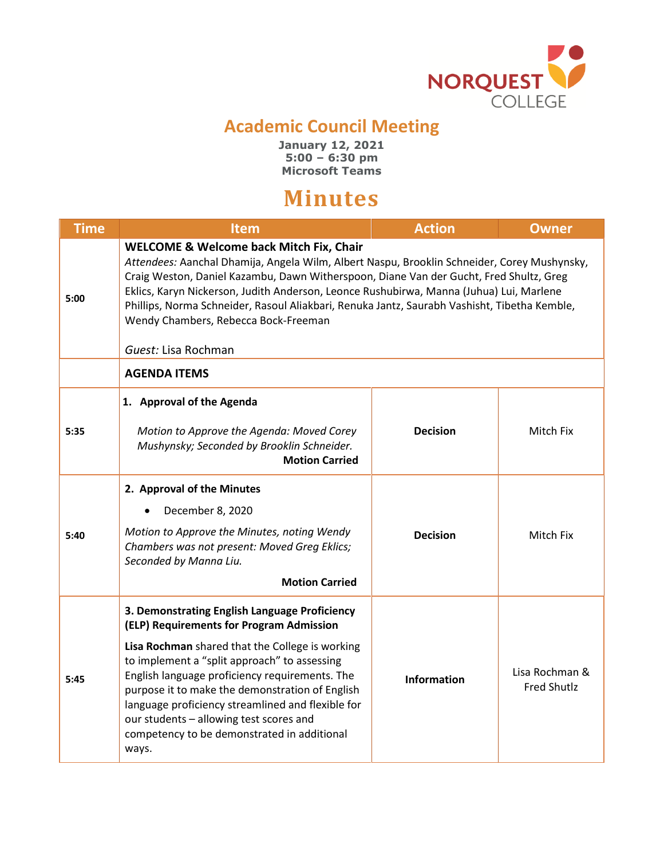

## **Academic Council Meeting**

**January 12, 2021 5:00 – 6:30 pm Microsoft Teams**

## **Minutes**

| <b>Time</b> | <b>Item</b>                                                                                                                                                                                                                                                                                                                                                                                                                                                                                           | <b>Action</b>      | <b>Owner</b>                         |  |
|-------------|-------------------------------------------------------------------------------------------------------------------------------------------------------------------------------------------------------------------------------------------------------------------------------------------------------------------------------------------------------------------------------------------------------------------------------------------------------------------------------------------------------|--------------------|--------------------------------------|--|
| 5:00        | <b>WELCOME &amp; Welcome back Mitch Fix, Chair</b><br>Attendees: Aanchal Dhamija, Angela Wilm, Albert Naspu, Brooklin Schneider, Corey Mushynsky,<br>Craig Weston, Daniel Kazambu, Dawn Witherspoon, Diane Van der Gucht, Fred Shultz, Greg<br>Eklics, Karyn Nickerson, Judith Anderson, Leonce Rushubirwa, Manna (Juhua) Lui, Marlene<br>Phillips, Norma Schneider, Rasoul Aliakbari, Renuka Jantz, Saurabh Vashisht, Tibetha Kemble,<br>Wendy Chambers, Rebecca Bock-Freeman<br>Guest: Lisa Rochman |                    |                                      |  |
|             | <b>AGENDA ITEMS</b>                                                                                                                                                                                                                                                                                                                                                                                                                                                                                   |                    |                                      |  |
| 5:35        | 1. Approval of the Agenda<br>Motion to Approve the Agenda: Moved Corey<br>Mushynsky; Seconded by Brooklin Schneider.<br><b>Motion Carried</b>                                                                                                                                                                                                                                                                                                                                                         | <b>Decision</b>    | Mitch Fix                            |  |
| 5:40        | 2. Approval of the Minutes<br>December 8, 2020<br>Motion to Approve the Minutes, noting Wendy<br>Chambers was not present: Moved Greg Eklics;<br>Seconded by Manna Liu.<br><b>Motion Carried</b>                                                                                                                                                                                                                                                                                                      | <b>Decision</b>    | Mitch Fix                            |  |
| 5:45        | 3. Demonstrating English Language Proficiency<br>(ELP) Requirements for Program Admission<br>Lisa Rochman shared that the College is working<br>to implement a "split approach" to assessing<br>English language proficiency requirements. The<br>purpose it to make the demonstration of English<br>language proficiency streamlined and flexible for<br>our students - allowing test scores and<br>competency to be demonstrated in additional<br>ways.                                             | <b>Information</b> | Lisa Rochman &<br><b>Fred Shutlz</b> |  |